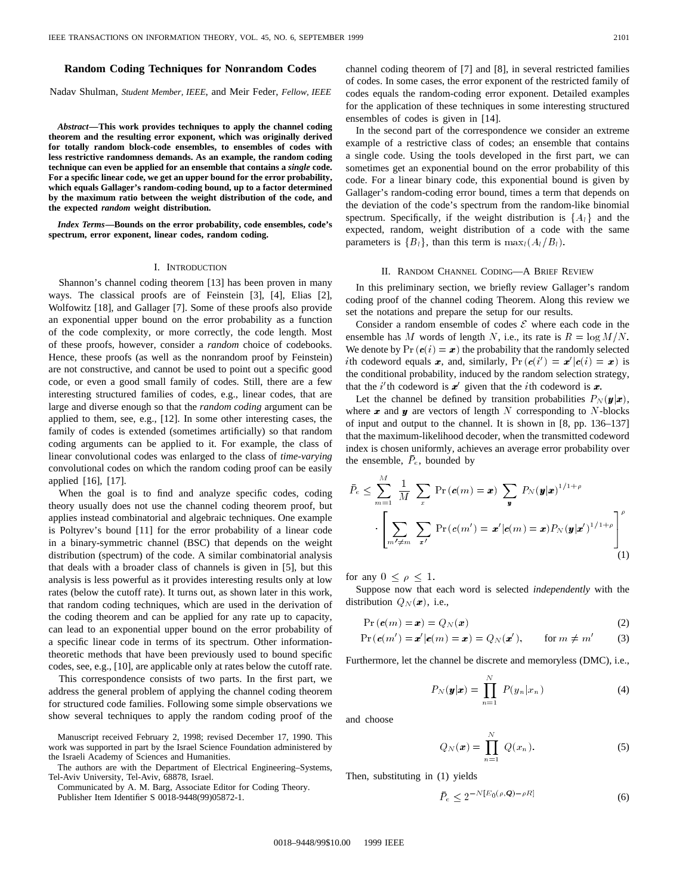## **Random Coding Techniques for Nonrandom Codes**

Nadav Shulman, *Student Member, IEEE*, and Meir Feder, *Fellow, IEEE*

*Abstract—***This work provides techniques to apply the channel coding theorem and the resulting error exponent, which was originally derived for totally random block-code ensembles, to ensembles of codes with less restrictive randomness demands. As an example, the random coding technique can even be applied for an ensemble that contains a** *single* **code. For a specific linear code, we get an upper bound for the error probability, which equals Gallager's random-coding bound, up to a factor determined by the maximum ratio between the weight distribution of the code, and the expected** *random* **weight distribution.**

*Index Terms—***Bounds on the error probability, code ensembles, code's spectrum, error exponent, linear codes, random coding.**

#### I. INTRODUCTION

Shannon's channel coding theorem [13] has been proven in many ways. The classical proofs are of Feinstein [3], [4], Elias [2], Wolfowitz [18], and Gallager [7]. Some of these proofs also provide an exponential upper bound on the error probability as a function of the code complexity, or more correctly, the code length. Most of these proofs, however, consider a *random* choice of codebooks. Hence, these proofs (as well as the nonrandom proof by Feinstein) are not constructive, and cannot be used to point out a specific good code, or even a good small family of codes. Still, there are a few interesting structured families of codes, e.g., linear codes, that are large and diverse enough so that the *random coding* argument can be applied to them, see, e.g., [12]. In some other interesting cases, the family of codes is extended (sometimes artificially) so that random coding arguments can be applied to it. For example, the class of linear convolutional codes was enlarged to the class of *time-varying* convolutional codes on which the random coding proof can be easily applied [16], [17].

When the goal is to find and analyze specific codes, coding theory usually does not use the channel coding theorem proof, but applies instead combinatorial and algebraic techniques. One example is Poltyrev's bound [11] for the error probability of a linear code in a binary-symmetric channel (BSC) that depends on the weight distribution (spectrum) of the code. A similar combinatorial analysis that deals with a broader class of channels is given in [5], but this analysis is less powerful as it provides interesting results only at low rates (below the cutoff rate). It turns out, as shown later in this work, that random coding techniques, which are used in the derivation of the coding theorem and can be applied for any rate up to capacity, can lead to an exponential upper bound on the error probability of a specific linear code in terms of its spectrum. Other informationtheoretic methods that have been previously used to bound specific codes, see, e.g., [10], are applicable only at rates below the cutoff rate.

This correspondence consists of two parts. In the first part, we address the general problem of applying the channel coding theorem for structured code families. Following some simple observations we show several techniques to apply the random coding proof of the

Manuscript received February 2, 1998; revised December 17, 1990. This work was supported in part by the Israel Science Foundation administered by the Israeli Academy of Sciences and Humanities.

The authors are with the Department of Electrical Engineering–Systems, Tel-Aviv University, Tel-Aviv, 68878, Israel.

Communicated by A. M. Barg, Associate Editor for Coding Theory. Publisher Item Identifier S 0018-9448(99)05872-1.

channel coding theorem of [7] and [8], in several restricted families of codes. In some cases, the error exponent of the restricted family of codes equals the random-coding error exponent. Detailed examples for the application of these techniques in some interesting structured ensembles of codes is given in [14].

In the second part of the correspondence we consider an extreme example of a restrictive class of codes; an ensemble that contains a single code. Using the tools developed in the first part, we can sometimes get an exponential bound on the error probability of this code. For a linear binary code, this exponential bound is given by Gallager's random-coding error bound, times a term that depends on the deviation of the code's spectrum from the random-like binomial spectrum. Specifically, if the weight distribution is  $\{A_l\}$  and the expected, random, weight distribution of a code with the same parameters is  ${B_l}$ , than this term is  $\max_l(A_l/B_l)$ .

## II. RANDOM CHANNEL CODING—A BRIEF REVIEW

In this preliminary section, we briefly review Gallager's random coding proof of the channel coding Theorem. Along this review we set the notations and prepare the setup for our results.

Consider a random ensemble of codes  $\mathcal E$  where each code in the ensemble has M words of length N, i.e., its rate is  $R = \log M/N$ . We denote by  $Pr(c(i) = x)$  the probability that the randomly selected *i*th codeword equals x, and, similarly,  $Pr(c(i') = x'|c(i) = x)$  is the conditional probability, induced by the random selection strategy, that the *i*'th codeword is  $x'$  given that the *i*th codeword is  $x$ .

Let the channel be defined by transition probabilities  $P_N(\mathbf{y}|\mathbf{x}),$ where  $x$  and  $y$  are vectors of length  $N$  corresponding to  $N$ -blocks of input and output to the channel. It is shown in [8, pp. 136–137] that the maximum-likelihood decoder, when the transmitted codeword index is chosen uniformly, achieves an average error probability over the ensemble,  $\bar{P}_e$ , bounded by

$$
\bar{P}_e \leq \sum_{m=1}^M \frac{1}{M} \sum_x \Pr(c(m) = \boldsymbol{x}) \sum_{\boldsymbol{y}} P_N(\boldsymbol{y}|\boldsymbol{x})^{1/1+\rho}
$$

$$
\cdot \left[ \sum_{m' \neq m} \sum_{\boldsymbol{x}'} \Pr(c(m') = \boldsymbol{x'}|c(m) = \boldsymbol{x}) P_N(\boldsymbol{y}|\boldsymbol{x}')^{1/1+\rho} \right]^\rho (1)
$$

for any  $0 \leq \rho \leq 1$ .

Suppose now that each word is selected *independently* with the distribution  $Q_N(\mathbf{x})$ , i.e.,

$$
Pr\left(\mathbf{c}(m) = \mathbf{x}\right) = Q_N(\mathbf{x})\tag{2}
$$

$$
Pr(\boldsymbol{c}(m') = \boldsymbol{x}'|\boldsymbol{c}(m) = \boldsymbol{x}) = Q_N(\boldsymbol{x}'), \quad \text{for } m \neq m' \quad (3)
$$

Furthermore, let the channel be discrete and memoryless (DMC), i.e.,

$$
P_N(\mathbf{y}|\mathbf{x}) = \prod_{n=1}^N P(y_n|x_n)
$$
 (4)

and choose

$$
Q_N(\boldsymbol{x}) = \prod_{n=1}^N Q(x_n). \tag{5}
$$

Then, substituting in (1) yields

$$
\bar{P}_e \le 2^{-N[E_0(\rho, \mathbf{Q}) - \rho R]} \tag{6}
$$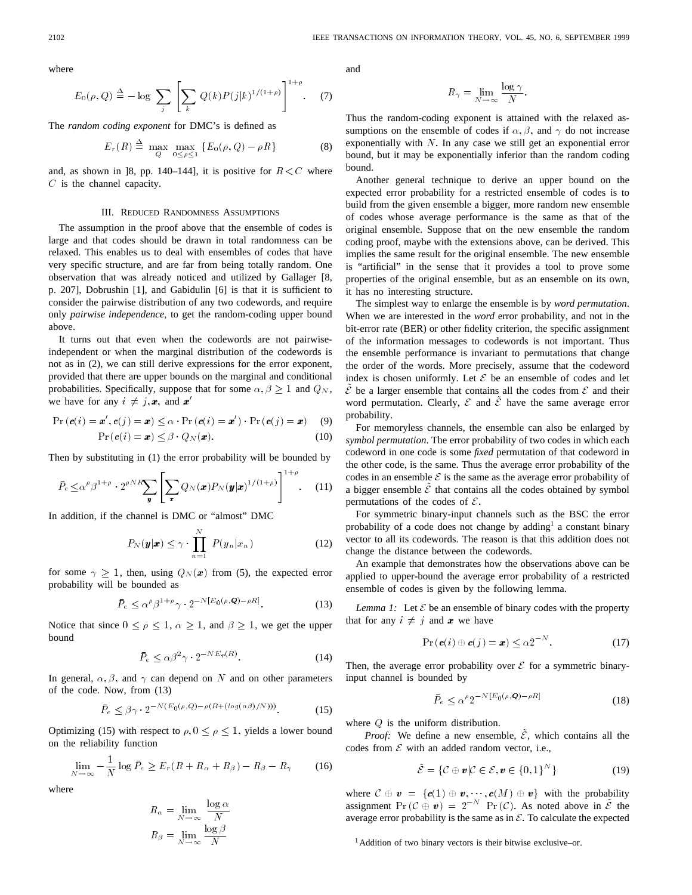where

$$
E_0(\rho, Q) \triangleq -\log \sum_{j} \left[ \sum_{k} Q(k) P(j|k)^{1/(1+\rho)} \right]^{1+\rho}.
$$
 (7)

The *random coding exponent* for DMC's is defined as

$$
E_r(R) \stackrel{\Delta}{=} \max_Q \max_{0 \le \rho \le 1} \{ E_0(\rho, Q) - \rho R \}
$$
 (8)

and, as shown in [8, pp. 140–144], it is positive for  $R \lt C$  where  $C$  is the channel capacity.

### III. REDUCED RANDOMNESS ASSUMPTIONS

The assumption in the proof above that the ensemble of codes is large and that codes should be drawn in total randomness can be relaxed. This enables us to deal with ensembles of codes that have very specific structure, and are far from being totally random. One observation that was already noticed and utilized by Gallager [8, p. 207], Dobrushin [1], and Gabidulin [6] is that it is sufficient to consider the pairwise distribution of any two codewords, and require only *pairwise independence*, to get the random-coding upper bound above.

It turns out that even when the codewords are not pairwiseindependent or when the marginal distribution of the codewords is not as in (2), we can still derive expressions for the error exponent, provided that there are upper bounds on the marginal and conditional probabilities. Specifically, suppose that for some  $\alpha, \beta \geq 1$  and  $Q_N$ , we have for any  $i \neq j, x$ , and  $x'$ 

$$
\Pr\left(\mathbf{c}(i) = \mathbf{x}', \mathbf{c}(j) = \mathbf{x}\right) \leq \alpha \cdot \Pr\left(\mathbf{c}(i) = \mathbf{x}'\right) \cdot \Pr\left(\mathbf{c}(j) = \mathbf{x}\right) \tag{9}
$$

$$
Pr(c(i) = x) \leq \beta \cdot Q_N(x). \tag{10}
$$

Then by substituting in (1) the error probability will be bounded by

$$
\bar{P}_e \leq \alpha^{\rho} \beta^{1+\rho} \cdot 2^{\rho N R} \sum_{\mathbf{y}} \left[ \sum_{\mathbf{x}} Q_N(\mathbf{x}) P_N(\mathbf{y}|\mathbf{x})^{1/(1+\rho)} \right]^{1+\rho}.
$$
 (11)

In addition, if the channel is DMC or "almost" DMC

$$
P_N(\mathbf{y}|\mathbf{x}) \le \gamma \cdot \prod_{n=1}^N P(y_n|x_n)
$$
 (12)

for some  $\gamma \geq 1$ , then, using  $Q_N(x)$  from (5), the expected error probability will be bounded as

$$
\bar{P}_e \leq \alpha^{\rho} \beta^{1+\rho} \gamma \cdot 2^{-N[E_0(\rho, \mathbf{Q}) - \rho R]}.
$$
\n(13)

Notice that since  $0 \le \rho \le 1$ ,  $\alpha \ge 1$ , and  $\beta \ge 1$ , we get the upper bound

$$
\bar{P}_e \le \alpha \beta^2 \gamma \cdot 2^{-N E_r(R)}.\tag{14}
$$

In general,  $\alpha$ ,  $\beta$ , and  $\gamma$  can depend on N and on other parameters of the code. Now, from (13)

$$
\bar{P}_e \le \beta \gamma \cdot 2^{-N(E_0(\rho, Q) - \rho(R + (\log(\alpha \beta)/N)))}.\tag{15}
$$

Optimizing (15) with respect to  $\rho$ ,  $0 \le \rho \le 1$ , yields a lower bound on the reliability function

$$
\lim_{N \to \infty} -\frac{1}{N} \log \bar{P}_e \ge E_r (R + R_\alpha + R_\beta) - R_\beta - R_\gamma \tag{16}
$$

where

$$
R_{\alpha} = \lim_{N \to \infty} \frac{\log \alpha}{N}
$$

$$
R_{\beta} = \lim_{N \to \infty} \frac{\log \beta}{N}
$$

and

$$
R_{\gamma} = \lim_{N \to \infty} \frac{\log \gamma}{N}.
$$

Thus the random-coding exponent is attained with the relaxed assumptions on the ensemble of codes if  $\alpha$ ,  $\beta$ , and  $\gamma$  do not increase exponentially with  $N$ . In any case we still get an exponential error bound, but it may be exponentially inferior than the random coding bound.

Another general technique to derive an upper bound on the expected error probability for a restricted ensemble of codes is to build from the given ensemble a bigger, more random new ensemble of codes whose average performance is the same as that of the original ensemble. Suppose that on the new ensemble the random coding proof, maybe with the extensions above, can be derived. This implies the same result for the original ensemble. The new ensemble is "artificial" in the sense that it provides a tool to prove some properties of the original ensemble, but as an ensemble on its own, it has no interesting structure.

The simplest way to enlarge the ensemble is by *word permutation*. When we are interested in the *word* error probability, and not in the bit-error rate (BER) or other fidelity criterion, the specific assignment of the information messages to codewords is not important. Thus the ensemble performance is invariant to permutations that change the order of the words. More precisely, assume that the codeword index is chosen uniformly. Let  $\mathcal E$  be an ensemble of codes and let  $\tilde{\mathcal{E}}$  be a larger ensemble that contains all the codes from  $\mathcal{E}$  and their word permutation. Clearly,  $\mathcal E$  and  $\tilde{\mathcal E}$  have the same average error probability.

For memoryless channels, the ensemble can also be enlarged by *symbol permutation*. The error probability of two codes in which each codeword in one code is some *fixed* permutation of that codeword in the other code, is the same. Thus the average error probability of the codes in an ensemble  $\mathcal E$  is the same as the average error probability of a bigger ensemble  $\tilde{\mathcal{E}}$  that contains all the codes obtained by symbol permutations of the codes of  $\mathcal{E}$ .

For symmetric binary-input channels such as the BSC the error probability of a code does not change by adding<sup>1</sup> a constant binary vector to all its codewords. The reason is that this addition does not change the distance between the codewords.

An example that demonstrates how the observations above can be applied to upper-bound the average error probability of a restricted ensemble of codes is given by the following lemma.

*Lemma 1:* Let  $\mathcal E$  be an ensemble of binary codes with the property that for any  $i \neq j$  and x we have

$$
\Pr\left(\mathbf{c}(i) \oplus \mathbf{c}(j) = \mathbf{x}\right) \leq \alpha 2^{-N}.\tag{17}
$$

Then, the average error probability over  $\mathcal E$  for a symmetric binaryinput channel is bounded by

$$
\bar{P}_e \le \alpha^{\rho} 2^{-N[E_0(\rho, \mathbf{Q}) - \rho R]} \tag{18}
$$

where  $Q$  is the uniform distribution.

*Proof:* We define a new ensemble,  $\mathcal{E}$ , which contains all the codes from  $\mathcal E$  with an added random vector, i.e.,

$$
\tilde{\mathcal{E}} = \{ \mathcal{C} \oplus v | \mathcal{C} \in \mathcal{E}, v \in \{0, 1\}^N \} \tag{19}
$$

where  $C \oplus v = \{c(1) \oplus v, \dots, c(M) \oplus v\}$  with the probability assignment  $Pr(\mathcal{C} \oplus v)=2^{-N} Pr(\mathcal{C})$ . As noted above in  $\tilde{\mathcal{E}}$  the average error probability is the same as in  $\mathcal{E}$ . To calculate the expected

<sup>1</sup>Addition of two binary vectors is their bitwise exclusive–or.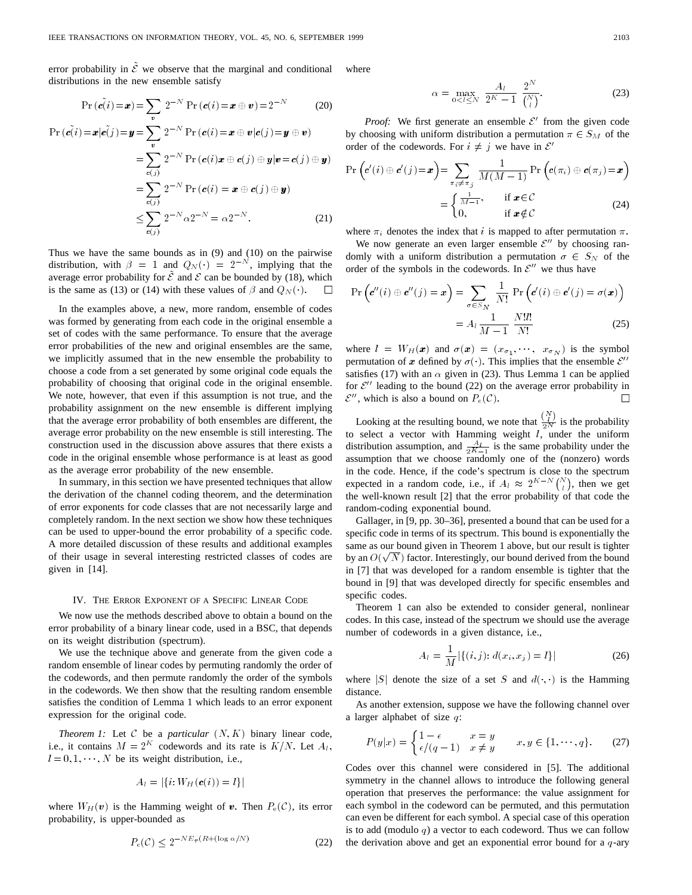error probability in  $\tilde{\mathcal{E}}$  we observe that the marginal and conditional distributions in the new ensemble satisfy Exercise that the marginar and conditional<br>emble satisfy<br> $2^{-N} \Pr(c(i) = x \oplus v) = 2^{-N}$  (20)

$$
\Pr\left(\vec{e(i)} = \bm{x}\right) = \sum_{\bm{v}} 2^{-N} \Pr\left(\bm{c}(i) = \bm{x} \oplus \bm{v}\right) = 2^{-N} \tag{20}
$$
\n
$$
\Pr\left(\vec{e(i)} = \bm{x} | \bm{e}(j) = \bm{y} = \sum_{\bm{v}} 2^{-N} \Pr\left(\bm{c}(i) = \bm{x} \oplus \bm{v} | \bm{c}(j) = \bm{y} \oplus \bm{v}\right)
$$

$$
\Pr\left(\mathbf{c}(i) = \mathbf{x} | \mathbf{c}(j)\right) = \mathbf{y} = \sum_{\mathbf{v}} 2^{-N} \Pr\left(\mathbf{c}(i) = \mathbf{x} \oplus \mathbf{v} | \mathbf{c}(j)\right) = \mathbf{y} \oplus \mathbf{v}\right)
$$
\n
$$
= \sum_{\mathbf{c}(j)} 2^{-N} \Pr\left(\mathbf{c}(i)\mathbf{x} \oplus \mathbf{c}(j) \oplus \mathbf{y} | \mathbf{v} = \mathbf{c}(j) \oplus \mathbf{y}\right)
$$
\n
$$
= \sum_{\mathbf{c}(j)} 2^{-N} \Pr\left(\mathbf{c}(i) = \mathbf{x} \oplus \mathbf{c}(j) \oplus \mathbf{y}\right)
$$
\n
$$
\leq \sum_{\mathbf{c}(j)} 2^{-N} \alpha 2^{-N} = \alpha 2^{-N}.
$$
\n(21)

Thus we have the same bounds as in (9) and (10) on the pairwise<br>distribution, with  $\beta = 1$  and  $Q_N(\cdot) = 2^{-N}$ , implying that the Thus we have the same bounds as in (9) and (10) on the pairwise average error probability for  $\tilde{\mathcal{E}}$  and  $\mathcal{E}$  can be bounded by (18), which is the same as (13) or (14) with these values of  $\beta$  and  $Q_N(\cdot)$ .  $\Box$ 

In the examples above, a new, more random, ensemble of codes was formed by generating from each code in the original ensemble a set of codes with the same performance. To ensure that the average error probabilities of the new and original ensembles are the same, we implicitly assumed that in the new ensemble the probability to choose a code from a set generated by some original code equals the probability of choosing that original code in the original ensemble. We note, however, that even if this assumption is not true, and the probability assignment on the new ensemble is different implying that the average error probability of both ensembles are different, the average error probability on the new ensemble is still interesting. The construction used in the discussion above assures that there exists a code in the original ensemble whose performance is at least as good as the average error probability of the new ensemble.

In summary, in this section we have presented techniques that allow the derivation of the channel coding theorem, and the determination of error exponents for code classes that are not necessarily large and completely random. In the next section we show how these techniques can be used to upper-bound the error probability of a specific code. A more detailed discussion of these results and additional examples of their usage in several interesting restricted classes of codes are given in [14].

#### IV. THE ERROR EXPONENT OF A SPECIFIC LINEAR CODE

We now use the methods described above to obtain a bound on the error probability of a binary linear code, used in a BSC, that depends on its weight distribution (spectrum).

We use the technique above and generate from the given code a random ensemble of linear codes by permuting randomly the order of the codewords, and then permute randomly the order of the symbols in the codewords. We then show that the resulting random ensemble satisfies the condition of Lemma 1 which leads to an error exponent expression for the original code.

*Theorem 1:* Let  $C$  be a *particular*  $(N, K)$  binary linear code, i.e., it contains  $M = 2^K$  codewords and its rate is  $K/N$ . Let  $A_i$ ,  $l = 0, 1, \dots, N$  be its weight distribution, i.e.,

$$
A_l = |\{i: W_H(\mathbf{c}(i)) = l\}|
$$

where  $W_H(\mathbf{v})$  is the Hamming weight of  $\mathbf{v}$ . Then  $P_e(\mathcal{C})$ , its error probability, is upper-bounded as  $P_e(\mathcal{C}) \leq 2^{-NE_r(R+(\log \alpha/N)}$  (22) probability, is upper-bounded as

$$
P_e(\mathcal{C}) < 2^{-N E_r(R + (\log \alpha/N))} \tag{22}
$$

where

$$
\alpha = \max_{0 < l \le N} \frac{A_l}{2^K - 1} \frac{2^N}{\binom{N}{l}}.\tag{23}
$$

*Proof:* We first generate an ensemble  $\mathcal{E}'$  from the given code by choosing with uniform distribution a permutation  $\pi \in S_M$  of the order of the codewords. For  $i \neq j$  we have in  $\mathcal{E}'$ 

$$
\Pr\left(\mathbf{c}'(i) \oplus \mathbf{c}'(j) = \mathbf{x}\right) = \sum_{\substack{\pi_i \neq \pi_j \\ \pi_i = 1}} \frac{1}{M(M-1)} \Pr\left(\mathbf{c}(\pi_i) \oplus \mathbf{c}(\pi_j) = \mathbf{x}\right)
$$

$$
= \begin{cases} \frac{1}{M-1}, & \text{if } \mathbf{x} \in \mathcal{C} \\ 0, & \text{if } \mathbf{x} \notin \mathcal{C} \end{cases}
$$
(24)

where  $\pi_i$  denotes the index that i is mapped to after permutation  $\pi$ .

We now generate an even larger ensemble  $\mathcal{E}^{\prime\prime}$  by choosing randomly with a uniform distribution a permutation  $\sigma \in S_N$  of the order of the symbols in the codewords. In  $\mathcal{E}^{\prime\prime}$  we thus have

$$
\Pr\left(\mathbf{c}''(i) \oplus \mathbf{c}''(j) = \mathbf{x}\right) = \sum_{\sigma \in S_N} \frac{1}{N!} \Pr\left(\mathbf{c}'(i) \oplus \mathbf{c}'(j) = \sigma(\mathbf{x})\right)
$$

$$
= A_l \frac{1}{M-1} \frac{N!l!}{N!}
$$
(25)

where  $l = W_H(x)$  and  $\sigma(x) = (x_{\sigma_1}, \dots, x_{\sigma_N})$  is the symbol permutation of x defined by  $\sigma(\cdot)$ . This implies that the ensemble  $\mathcal{E}'$ satisfies (17) with an  $\alpha$  given in (23). Thus Lemma 1 can be applied for  $\mathcal{E}^{\prime\prime}$  leading to the bound (22) on the average error probability in  $\mathcal{E}''$ , which is also a bound on  $P_e(\mathcal{C})$ .  $\Box$ 

Looking at the resulting bound, we note that  $\frac{\binom{N}{l}}{2N}$  is the probability to select a vector with Hamming weight  $l$ , under the uniform distribution assumption, and  $\frac{A_l}{2K-1}$  is the same probability under the assumption that we choose randomly one of the (nonzero) words in the code. Hence, if the code's spectrum is close to the spectrum expected in a random code, i.e., if  $A_l \approx 2^{K-N} \binom{N}{l}$ , then we get the well-known result [2] that the error probability of that code the random-coding exponential bound.

Gallager, in [9, pp. 30–36], presented a bound that can be used for a specific code in terms of its spectrum. This bound is exponentially the same as our bound given in Theorem 1 above, but our result is tighter same as our bound given in Theorem T above, but our result is ughter<br>by an  $O(\sqrt{N})$  factor. Interestingly, our bound derived from the bound in [7] that was developed for a random ensemble is tighter that the bound in [9] that was developed directly for specific ensembles and specific codes.

Theorem 1 can also be extended to consider general, nonlinear codes. In this case, instead of the spectrum we should use the average number of codewords in a given distance, i.e.,

$$
A_l = \frac{1}{M} |\{(i, j): d(x_i, x_j) = l\}|
$$
\n(26)

where  $|S|$  denote the size of a set S and  $d($ , ) is the Hamming distance.

As another extension, suppose we have the following channel over a larger alphabet of size  $q$ :

$$
P(y|x) = \begin{cases} 1 - \epsilon & x = y \\ \epsilon/(q - 1) & x \neq y \end{cases} \qquad x, y \in \{1, \cdots, q\}. \tag{27}
$$

Codes over this channel were considered in [5]. The additional symmetry in the channel allows to introduce the following general operation that preserves the performance: the value assignment for each symbol in the codeword can be permuted, and this permutation can even be different for each symbol. A special case of this operation is to add (modulo  $q$ ) a vector to each codeword. Thus we can follow the derivation above and get an exponential error bound for a  $q$ -ary